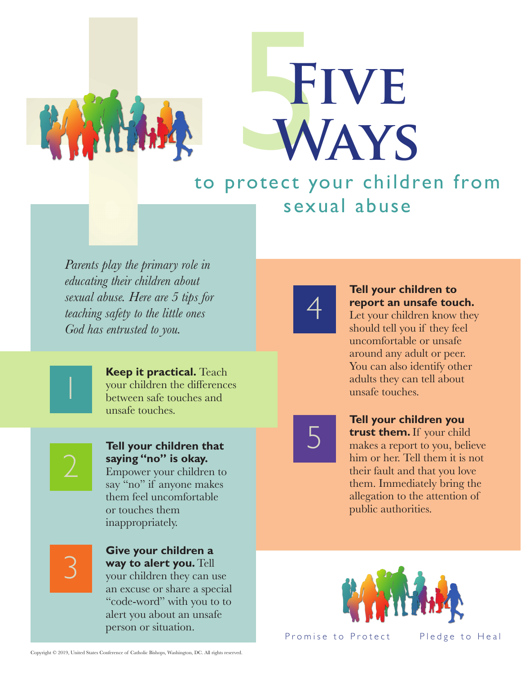

# FIVE<br>WAYS **Ways**

## to protect your children from sexual abuse

*Parents play the primary role in educating their children about sexual abuse. Here are 5 tips for teaching safety to the little ones God has entrusted to you.*

> **Keep it practical.** Teach your children the differences between safe touches and unsafe touches.

1

#### **Tell your children that saying "no" is okay.**  Empower your children to

say "no" if anyone makes them feel uncomfortable or touches them inappropriately.

3

#### **Give your children a way to alert you.** Tell your children they can use an excuse or share a special "code-word" with you to to alert you about an unsafe

person or situation.



#### **Tell your children to report an unsafe touch.**

Let your children know they should tell you if they feel uncomfortable or unsafe around any adult or peer. You can also identify other adults they can tell about unsafe touches.

5

**Tell your children you trust them.** If your child makes a report to you, believe him or her. Tell them it is not their fault and that you love them. Immediately bring the allegation to the attention of public authorities.



Promise to Protect Pledge to Heal

Copyright © 2019, United States Conference of Catholic Bishops, Washington, DC. All rights reserved.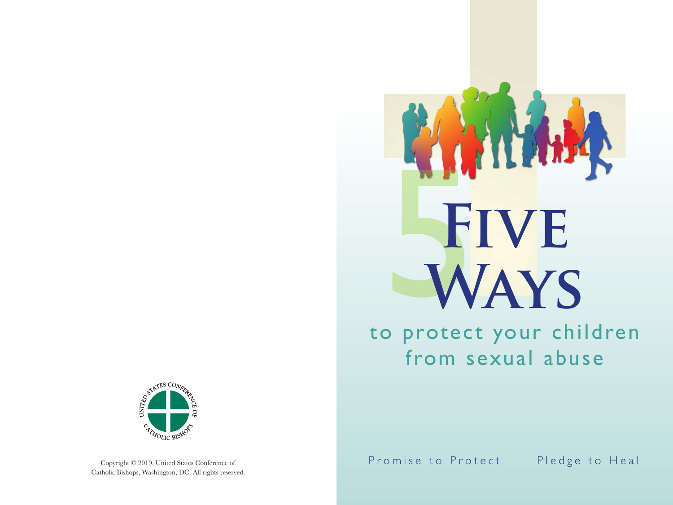

to protect your children from sexual abuse



Copyright © 2019, United States Conference of Catholic Bishops, Washington, DC. All rights reserved. Promise to Protect Pledge to Heal